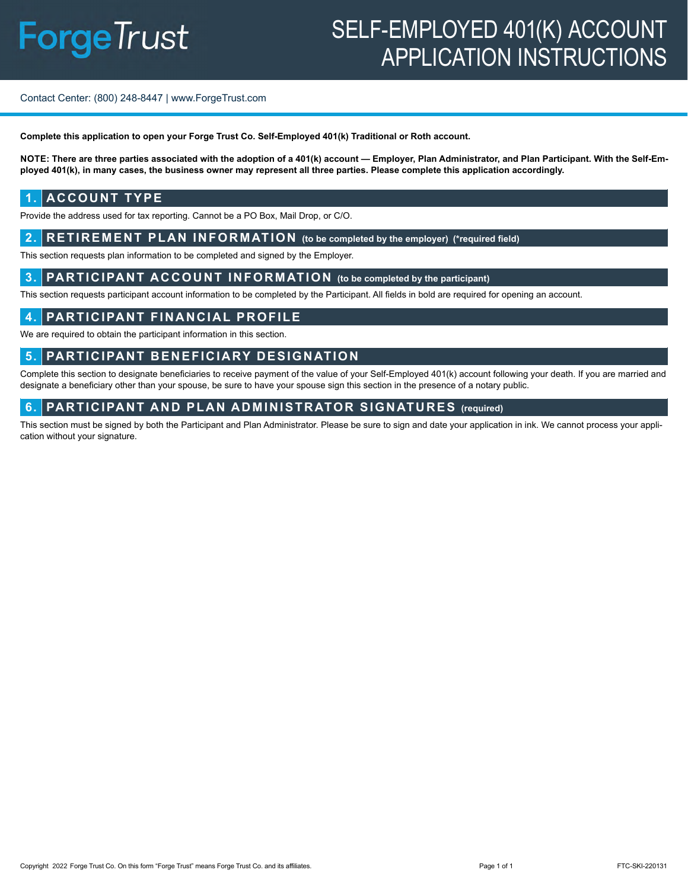# SELF-EMPLOYED 401(K) ACCOUNT APPLICATION INSTRUCTIONS

#### Contact Center: (800) 248-8447 | www.ForgeTrust.com

**Complete this application to open your Forge Trust Co. Self-Employed 401(k) Traditional or Roth account.**

**NOTE: There are three parties associated with the adoption of a 401(k) account — Employer, Plan Administrator, and Plan Participant. With the Self-Employed 401(k), in many cases, the business owner may represent all three parties. Please complete this application accordingly.**

#### **1. ACCOUNT TYPE**

Provide the address used for tax reporting. Cannot be a PO Box, Mail Drop, or C/O.

#### **2. RETIREMENT PLAN INFORMATION (to be completed by the employer) (\*required field)**

This section requests plan information to be completed and signed by the Employer.

#### **3. PARTICIPANT ACCOUNT INFORMATION (to be completed by the participant)**

This section requests participant account information to be completed by the Participant. All fields in bold are required for opening an account.

#### **4. PARTICIPANT FINANCIAL PROFILE**

We are required to obtain the participant information in this section.

#### **5. PARTICIPANT BENEFICIARY DESIGNATION**

Complete this section to designate beneficiaries to receive payment of the value of your Self-Employed 401(k) account following your death. If you are married and designate a beneficiary other than your spouse, be sure to have your spouse sign this section in the presence of a notary public.

#### **6. PARTICIPANT AND PLAN ADMINISTRATOR SIGNATURES (required)**

This section must be signed by both the Participant and Plan Administrator. Please be sure to sign and date your application in ink. We cannot process your application without your signature.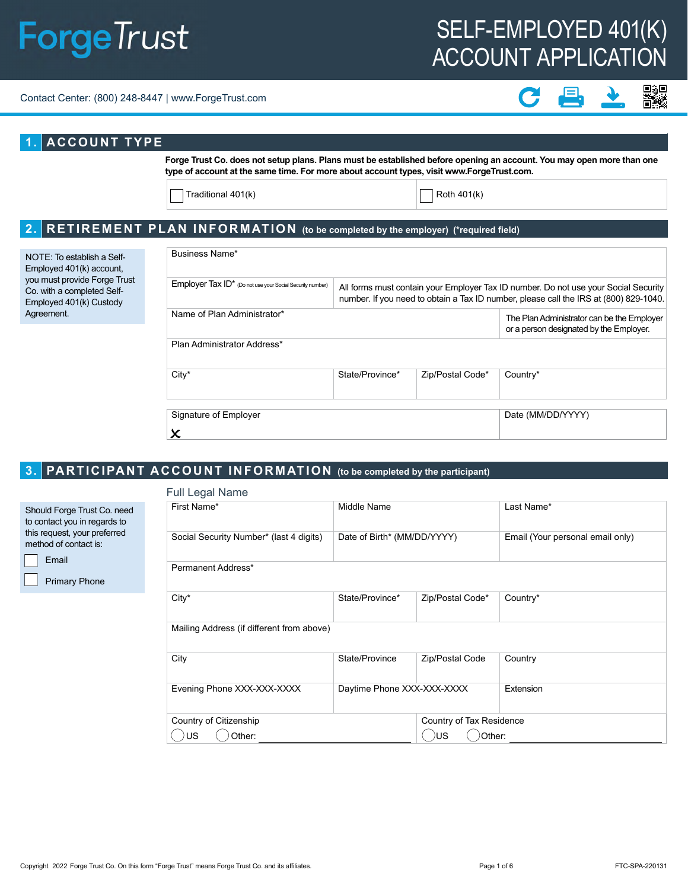# SELF-EMPLOYED 401(K) ACCOUNT APPLICATION

#### Contact Center: (800) 248-8447 | www.ForgeTrust.com



#### **1. ACCOUNT TYPE**

**Forge Trust Co. does not setup plans. Plans must be established before opening an account. You may open more than one type of account at the same time. For more about account types, visit www.ForgeTrust.com.** 

Traditional  $401(k)$  Roth  $401(k)$ 

 $\boldsymbol{\mathsf{x}}$ 

#### **2. RETIREMENT PLAN INFORMATION (to be completed by the employer) (\*required field)**

| NOTE: To establish a Self-<br>Employed 401(k) account,<br>you must provide Forge Trust<br>Co. with a completed Self-<br>Employed 401(k) Custody | Business Name*                                                                                                                                                                                                                            |                 |                  |                                                                                       |  |
|-------------------------------------------------------------------------------------------------------------------------------------------------|-------------------------------------------------------------------------------------------------------------------------------------------------------------------------------------------------------------------------------------------|-----------------|------------------|---------------------------------------------------------------------------------------|--|
|                                                                                                                                                 | Employer Tax ID* (Do not use your Social Security number)<br>All forms must contain your Employer Tax ID number. Do not use your Social Security<br>number. If you need to obtain a Tax ID number, please call the IRS at (800) 829-1040. |                 |                  |                                                                                       |  |
| Agreement.                                                                                                                                      | Name of Plan Administrator*                                                                                                                                                                                                               |                 |                  | The Plan Administrator can be the Employer<br>or a person designated by the Employer. |  |
|                                                                                                                                                 | Plan Administrator Address*                                                                                                                                                                                                               |                 |                  |                                                                                       |  |
|                                                                                                                                                 | $City*$                                                                                                                                                                                                                                   | State/Province* | Zip/Postal Code* | Country*                                                                              |  |
|                                                                                                                                                 | Signature of Employer                                                                                                                                                                                                                     |                 |                  | Date (MM/DD/YYYY)                                                                     |  |

## **3. PARTICIPANT ACCOUNT INFORMATION (to be completed by the participant)**

Primary Phone

 $\lceil$ 

| Full Legal Name                           |                             |                          |                                  |  |  |
|-------------------------------------------|-----------------------------|--------------------------|----------------------------------|--|--|
| First Name*                               | Middle Name                 |                          | Last Name*                       |  |  |
| Social Security Number* (last 4 digits)   | Date of Birth* (MM/DD/YYYY) |                          | Email (Your personal email only) |  |  |
| Permanent Address*                        |                             |                          |                                  |  |  |
| City*                                     | State/Province*             | Zip/Postal Code*         | Country*                         |  |  |
| Mailing Address (if different from above) |                             |                          |                                  |  |  |
| City                                      | State/Province              | Zip/Postal Code          | Country                          |  |  |
| Evening Phone XXX-XXX-XXXX                | Daytime Phone XXX-XXX-XXXX  |                          | Extension                        |  |  |
| Country of Citizenship                    |                             | Country of Tax Residence |                                  |  |  |
| Other:<br>US                              |                             | )US<br>Other:            |                                  |  |  |
|                                           |                             |                          |                                  |  |  |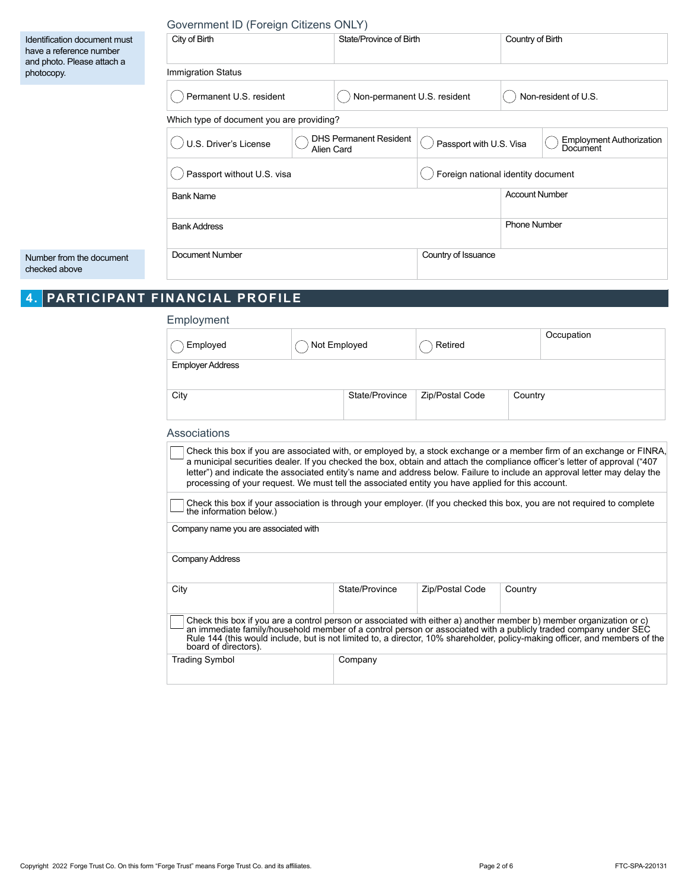|                                                                                                     | Government ID (Foreign Citizens ONLY)     |            |                               |                                    |                       |                                             |
|-----------------------------------------------------------------------------------------------------|-------------------------------------------|------------|-------------------------------|------------------------------------|-----------------------|---------------------------------------------|
| Identification document must<br>have a reference number<br>and photo. Please attach a<br>photocopy. | City of Birth                             |            | State/Province of Birth       |                                    | Country of Birth      |                                             |
|                                                                                                     | <b>Immigration Status</b>                 |            |                               |                                    |                       |                                             |
|                                                                                                     | Permanent U.S. resident                   |            | Non-permanent U.S. resident   |                                    |                       | Non-resident of U.S.                        |
|                                                                                                     | Which type of document you are providing? |            |                               |                                    |                       |                                             |
|                                                                                                     | U.S. Driver's License                     | Alien Card | <b>DHS Permanent Resident</b> | Passport with U.S. Visa            |                       | <b>Employment Authorization</b><br>Document |
|                                                                                                     | Passport without U.S. visa                |            |                               | Foreign national identity document |                       |                                             |
|                                                                                                     | <b>Bank Name</b>                          |            |                               |                                    | <b>Account Number</b> |                                             |
|                                                                                                     | <b>Bank Address</b>                       |            |                               |                                    | <b>Phone Number</b>   |                                             |
| Number from the document<br>checked above                                                           | <b>Document Number</b>                    |            |                               | Country of Issuance                |                       |                                             |

# **4. PARTICIPANT FINANCIAL PROFILE**

| Employment                                                                                        |                |                 |         |                                                                                                                                                                                                                                                                                                                                                                                  |
|---------------------------------------------------------------------------------------------------|----------------|-----------------|---------|----------------------------------------------------------------------------------------------------------------------------------------------------------------------------------------------------------------------------------------------------------------------------------------------------------------------------------------------------------------------------------|
| Employed                                                                                          | Not Employed   | Retired         |         | Occupation                                                                                                                                                                                                                                                                                                                                                                       |
| <b>Employer Address</b>                                                                           |                |                 |         |                                                                                                                                                                                                                                                                                                                                                                                  |
| City                                                                                              | State/Province | Zip/Postal Code | Country |                                                                                                                                                                                                                                                                                                                                                                                  |
| Associations                                                                                      |                |                 |         |                                                                                                                                                                                                                                                                                                                                                                                  |
| processing of your request. We must tell the associated entity you have applied for this account. |                |                 |         | Check this box if you are associated with, or employed by, a stock exchange or a member firm of an exchange or FINRA,<br>a municipal securities dealer. If you checked the box, obtain and attach the compliance officer's letter of approval ("407<br>letter") and indicate the associated entity's name and address below. Failure to include an approval letter may delay the |
| the information below.)                                                                           |                |                 |         | Check this box if your association is through your employer. (If you checked this box, you are not required to complete                                                                                                                                                                                                                                                          |
| Company name you are associated with                                                              |                |                 |         |                                                                                                                                                                                                                                                                                                                                                                                  |
| Company Address                                                                                   |                |                 |         |                                                                                                                                                                                                                                                                                                                                                                                  |
| City                                                                                              | State/Province | Zip/Postal Code | Country |                                                                                                                                                                                                                                                                                                                                                                                  |
| board of directors).                                                                              |                |                 |         | Check this box if you are a control person or associated with either a) another member b) member organization or c)<br>an immediate family/household member of a control person or associated with a publicly traded company under SEC<br>Rule 144 (this would include, but is not limited to, a director, 10% shareholder, policy-making officer, and members of the            |
| <b>Trading Symbol</b>                                                                             | Company        |                 |         |                                                                                                                                                                                                                                                                                                                                                                                  |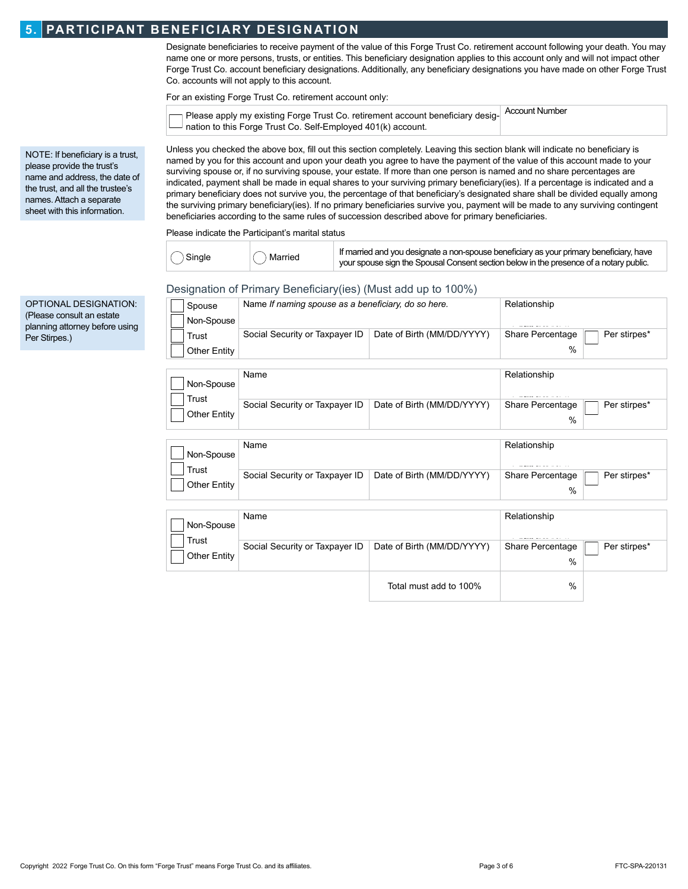#### **5. PARTICIPANT BENEFICIARY DESIGNATION**

 $\overline{\phantom{a}}$ 

Designate beneficiaries to receive payment of the value of this Forge Trust Co. retirement account following your death. You may name one or more persons, trusts, or entities. This beneficiary designation applies to this account only and will not impact other Forge Trust Co. account beneficiary designations. Additionally, any beneficiary designations you have made on other Forge Trust Co. accounts will not apply to this account.

For an existing Forge Trust Co. retirement account only:

| $\neg$ Please apply my existing Forge Trust Co. retirement account beneficiary desig- | Account Number |
|---------------------------------------------------------------------------------------|----------------|
| $-$ nation to this Forge Trust Co. Self-Employed 401(k) account.                      |                |

NOTE: If beneficiary is a trust, please provide the trust's name and address, the date of the trust, and all the trustee's names. Attach a separate sheet with this information.

Unless you checked the above box, fill out this section completely. Leaving this section blank will indicate no beneficiary is named by you for this account and upon your death you agree to have the payment of the value of this account made to your surviving spouse or, if no surviving spouse, your estate. If more than one person is named and no share percentages are indicated, payment shall be made in equal shares to your surviving primary beneficiary(ies). If a percentage is indicated and a primary beneficiary does not survive you, the percentage of that beneficiary's designated share shall be divided equally among the surviving primary beneficiary(ies). If no primary beneficiaries survive you, payment will be made to any surviving contingent beneficiaries according to the same rules of succession described above for primary beneficiaries.

Please indicate the Participant's marital status

| Single | ) Married | If married and you designate a non-spouse beneficiary as your primary beneficiary, have<br>your spouse sign the Spousal Consent section below in the presence of a notary public. |
|--------|-----------|-----------------------------------------------------------------------------------------------------------------------------------------------------------------------------------|
|        |           |                                                                                                                                                                                   |

#### Designation of Primary Beneficiary(ies) (Must add up to 100%)

| Spouse       | Name If naming spouse as a beneficiary, do so here. |                            | Relationship     |              |
|--------------|-----------------------------------------------------|----------------------------|------------------|--------------|
| Non-Spouse   |                                                     |                            |                  |              |
| Trust        | Social Security or Taxpayer ID                      | Date of Birth (MM/DD/YYYY) | Share Percentage | Per stirpes* |
| Other Entity |                                                     |                            | $\%$             |              |

| Non-Spouse            | Name                           |                            | Relationship          |              |
|-----------------------|--------------------------------|----------------------------|-----------------------|--------------|
| Trust<br>Other Entity | Social Security or Taxpayer ID | Date of Birth (MM/DD/YYYY) | Share Percentage<br>% | Per stirpes* |
| Non-Spouse            | Name                           |                            | Relationship          |              |
| Trust<br>Other Entity | Social Security or Taxpayer ID | Date of Birth (MM/DD/YYYY) | Share Percentage<br>% | Per stirpes* |

| Non-Spouse                   | Name                           |                            | Relationship             |              |
|------------------------------|--------------------------------|----------------------------|--------------------------|--------------|
| Trust<br><b>Other Entity</b> | Social Security or Taxpayer ID | Date of Birth (MM/DD/YYYY) | Share Percentage<br>$\%$ | Per stirpes* |
|                              |                                | Total must add to 100%     | $\frac{0}{0}$            |              |

OPTIONAL DESIGNATION: (Please consult an estate planning attorney before using Per Stirpes.)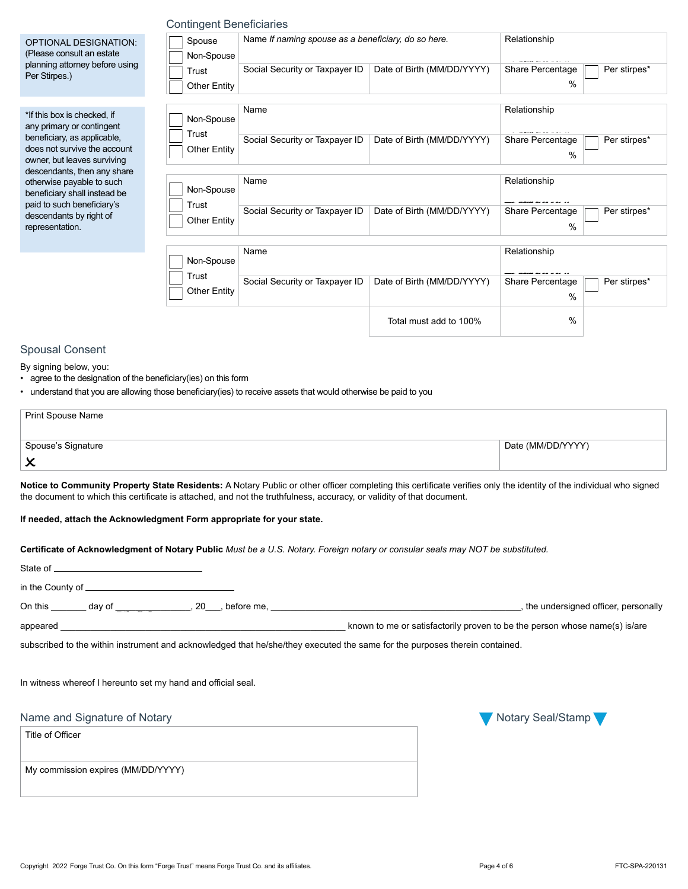|                                                                                                                                                                        | Trust                        | Social Security or Taxpayer ID                                                                                                                                                                                                                                                            | Date of Birth (MM/DD/YYYY) | Share Percentage                  | Per stirpes'             |
|------------------------------------------------------------------------------------------------------------------------------------------------------------------------|------------------------------|-------------------------------------------------------------------------------------------------------------------------------------------------------------------------------------------------------------------------------------------------------------------------------------------|----------------------------|-----------------------------------|--------------------------|
| Per Stirpes.)                                                                                                                                                          | <b>Other Entity</b>          |                                                                                                                                                                                                                                                                                           |                            | $\%$                              |                          |
| *If this box is checked, if<br>any primary or contingent                                                                                                               | Non-Spouse                   | Name                                                                                                                                                                                                                                                                                      |                            | Relationship                      |                          |
| beneficiary, as applicable,<br>does not survive the account<br>owner, but leaves surviving                                                                             | Trust<br><b>Other Entity</b> | Social Security or Taxpayer ID                                                                                                                                                                                                                                                            | Date of Birth (MM/DD/YYYY) | Share Percentage<br>%             | Per stirpes <sup>*</sup> |
| descendants, then any share<br>otherwise payable to such<br>beneficiary shall instead be                                                                               | Non-Spouse                   | Name                                                                                                                                                                                                                                                                                      |                            | Relationship                      |                          |
| paid to such beneficiary's<br>descendants by right of<br>representation.                                                                                               | <b>Trust</b><br>Other Entity | Social Security or Taxpayer ID                                                                                                                                                                                                                                                            | Date of Birth (MM/DD/YYYY) | Share Percentage<br>%             | Per stirpes'             |
|                                                                                                                                                                        | Non-Spouse                   | Name                                                                                                                                                                                                                                                                                      |                            | Relationship                      |                          |
|                                                                                                                                                                        | Trust<br><b>Other Entity</b> | Social Security or Taxpayer ID                                                                                                                                                                                                                                                            | Date of Birth (MM/DD/YYYY) | Share Percentage<br>$\frac{0}{0}$ | Per stirpes*             |
|                                                                                                                                                                        |                              |                                                                                                                                                                                                                                                                                           | Total must add to 100%     | $\%$                              |                          |
|                                                                                                                                                                        |                              |                                                                                                                                                                                                                                                                                           |                            |                                   |                          |
|                                                                                                                                                                        |                              | • understand that you are allowing those beneficiary(ies) to receive assets that would otherwise be paid to you                                                                                                                                                                           |                            |                                   |                          |
| <b>Spousal Consent</b><br>By signing below, you:<br>• agree to the designation of the beneficiary (ies) on this form<br><b>Print Spouse Name</b><br>Spouse's Signature |                              |                                                                                                                                                                                                                                                                                           |                            | Date (MM/DD/YYYY)                 |                          |
| $\boldsymbol{\mathsf{x}}$<br>If needed, attach the Acknowledgment Form appropriate for your state.                                                                     |                              | Notice to Community Property State Residents: A Notary Public or other officer completing this certificate verifies only the identity of the individual who sign<br>the document to which this certificate is attached, and not the truthfulness, accuracy, or validity of that document. |                            |                                   |                          |
|                                                                                                                                                                        |                              | Certificate of Acknowledgment of Notary Public Must be a U.S. Notary. Foreign notary or consular seals may NOT be substituted.                                                                                                                                                            |                            |                                   |                          |
|                                                                                                                                                                        |                              |                                                                                                                                                                                                                                                                                           |                            |                                   |                          |

| Non-Spouse                   | .                              |                            |                                          |
|------------------------------|--------------------------------|----------------------------|------------------------------------------|
| Trust<br><b>Other Entity</b> | Social Security or Taxpayer ID | Date of Birth (MM/DD/YYYY) | Per stirpes*<br>Share Percentage<br>%    |
| Non-Spouse                   | Name                           |                            | Relationship                             |
| Trust<br>Other Entity        | Social Security or Taxpayer ID | Date of Birth (MM/DD/YYYY) | Per stirpes*<br>Share Percentage<br>$\%$ |
|                              |                                |                            |                                          |

## Total must add to 100%

#### Spousal Consent

(Please consult an estate planning attorney before using

- agree to the designation of the beneficiary(ies) on this form
- understand that you are allowing those beneficiary(ies) to receive assets that would otherwise be paid to you

| Print Spouse Name  |                   |
|--------------------|-------------------|
| Spouse's Signature | Date (MM/DD/YYYY) |
| ∼                  |                   |

|                  | in the County of $\sqrt{2}$ in the County of $\sqrt{2}$                                                                                                                                                                              |  |                                                                                                                             |                                                                            |
|------------------|--------------------------------------------------------------------------------------------------------------------------------------------------------------------------------------------------------------------------------------|--|-----------------------------------------------------------------------------------------------------------------------------|----------------------------------------------------------------------------|
|                  |                                                                                                                                                                                                                                      |  | On this day of 3.20 before me,                                                                                              | , the undersigned officer, personally                                      |
|                  | appeared <u>example and the set of the set of the set of the set of the set of the set of the set of the set of the set of the set of the set of the set of the set of the set of the set of the set of the set of the set of th</u> |  |                                                                                                                             | known to me or satisfactorily proven to be the person whose name(s) is/are |
|                  |                                                                                                                                                                                                                                      |  | subscribed to the within instrument and acknowledged that he/she/they executed the same for the purposes therein contained. |                                                                            |
|                  |                                                                                                                                                                                                                                      |  |                                                                                                                             |                                                                            |
|                  | In witness whereof I hereunto set my hand and official seal.                                                                                                                                                                         |  |                                                                                                                             |                                                                            |
|                  |                                                                                                                                                                                                                                      |  |                                                                                                                             |                                                                            |
|                  | Name and Signature of Notary                                                                                                                                                                                                         |  |                                                                                                                             | Notary Seal/Stamp                                                          |
| Title of Officer |                                                                                                                                                                                                                                      |  |                                                                                                                             |                                                                            |
|                  |                                                                                                                                                                                                                                      |  |                                                                                                                             |                                                                            |
|                  | My commission expires (MM/DD/YYYY)                                                                                                                                                                                                   |  |                                                                                                                             |                                                                            |
|                  |                                                                                                                                                                                                                                      |  |                                                                                                                             |                                                                            |

Non-Spouse Trust Other Entity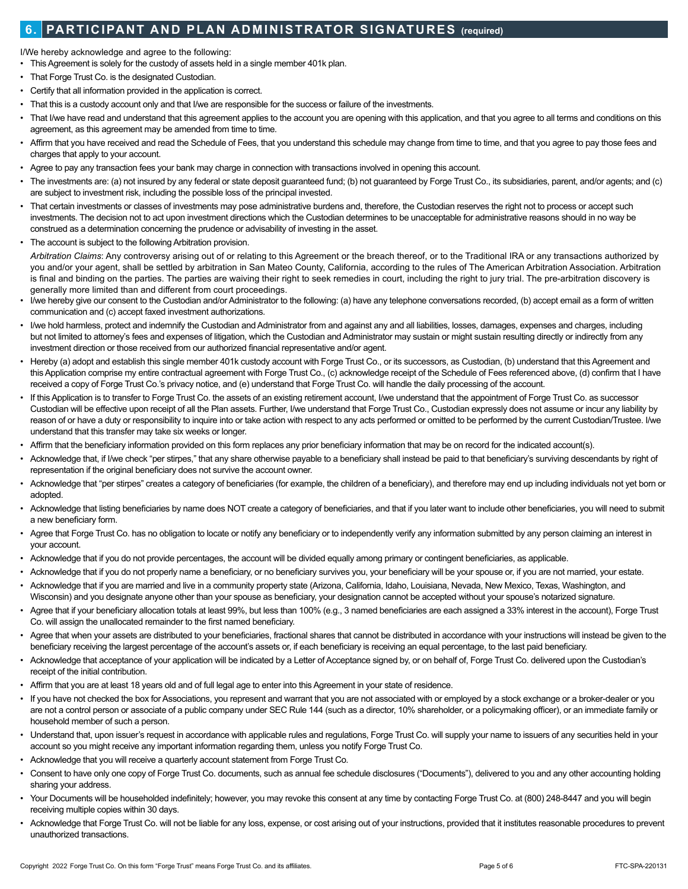### **6. PARTICIPANT AND PLAN ADMINISTRATOR SIGNATURES (required)**

I/We hereby acknowledge and agree to the following:

- This Agreement is solely for the custody of assets held in a single member 401k plan.
- That Forge Trust Co. is the designated Custodian.
- Certify that all information provided in the application is correct.
- That this is a custody account only and that I/we are responsible for the success or failure of the investments.
- That I/we have read and understand that this agreement applies to the account you are opening with this application, and that you agree to all terms and conditions on this agreement, as this agreement may be amended from time to time.
- Affirm that you have received and read the Schedule of Fees, that you understand this schedule may change from time to time, and that you agree to pay those fees and charges that apply to your account.
- Agree to pay any transaction fees your bank may charge in connection with transactions involved in opening this account.
- The investments are: (a) not insured by any federal or state deposit guaranteed fund; (b) not guaranteed by Forge Trust Co., its subsidiaries, parent, and/or agents; and (c) are subject to investment risk, including the possible loss of the principal invested.
- That certain investments or classes of investments may pose administrative burdens and, therefore, the Custodian reserves the right not to process or accept such investments. The decision not to act upon investment directions which the Custodian determines to be unacceptable for administrative reasons should in no way be construed as a determination concerning the prudence or advisability of investing in the asset.
- The account is subject to the following Arbitration provision.

*Arbitration Claims*: Any controversy arising out of or relating to this Agreement or the breach thereof, or to the Traditional IRA or any transactions authorized by you and/or your agent, shall be settled by arbitration in San Mateo County, California, according to the rules of The American Arbitration Association. Arbitration is final and binding on the parties. The parties are waiving their right to seek remedies in court, including the right to jury trial. The pre-arbitration discovery is generally more limited than and different from court proceedings.

- I/we hereby give our consent to the Custodian and/or Administrator to the following: (a) have any telephone conversations recorded, (b) accept email as a form of written communication and (c) accept faxed investment authorizations.
- I/we hold harmless, protect and indemnify the Custodian and Administrator from and against any and all liabilities, losses, damages, expenses and charges, including but not limited to attorney's fees and expenses of litigation, which the Custodian and Administrator may sustain or might sustain resulting directly or indirectly from any investment direction or those received from our authorized financial representative and/or agent.
- Hereby (a) adopt and establish this single member 401k custody account with Forge Trust Co., or its successors, as Custodian, (b) understand that this Agreement and this Application comprise my entire contractual agreement with Forge Trust Co., (c) acknowledge receipt of the Schedule of Fees referenced above, (d) confirm that I have received a copy of Forge Trust Co.'s privacy notice, and (e) understand that Forge Trust Co. will handle the daily processing of the account.
- If this Application is to transfer to Forge Trust Co. the assets of an existing retirement account. I/we understand that the appointment of Forge Trust Co. as successor Custodian will be effective upon receipt of all the Plan assets. Further, I/we understand that Forge Trust Co., Custodian expressly does not assume or incur any liability by reason of or have a duty or responsibility to inquire into or take action with respect to any acts performed or omitted to be performed by the current Custodian/Trustee. I/we understand that this transfer may take six weeks or longer.
- Affirm that the beneficiary information provided on this form replaces any prior beneficiary information that may be on record for the indicated account(s).
- Acknowledge that, if I/we check "per stirpes," that any share otherwise payable to a beneficiary shall instead be paid to that beneficiary's surviving descendants by right of representation if the original beneficiary does not survive the account owner.
- Acknowledge that "per stirpes" creates a category of beneficiaries (for example, the children of a beneficiary), and therefore may end up including individuals not yet born or adopted.
- Acknowledge that listing beneficiaries by name does NOT create a category of beneficiaries, and that if you later want to include other beneficiaries, you will need to submit a new beneficiary form.
- Agree that Forge Trust Co. has no obligation to locate or notify any beneficiary or to independently verify any information submitted by any person claiming an interest in your account.
- Acknowledge that if you do not provide percentages, the account will be divided equally among primary or contingent beneficiaries, as applicable.
- Acknowledge that if you do not properly name a beneficiary, or no beneficiary survives you, your beneficiary will be your spouse or, if you are not married, your estate.
- Acknowledge that if you are married and live in a community property state (Arizona, California, Idaho, Louisiana, Nevada, New Mexico, Texas, Washington, and Wisconsin) and you designate anyone other than your spouse as beneficiary, your designation cannot be accepted without your spouse's notarized signature.
- Agree that if your beneficiary allocation totals at least 99%, but less than 100% (e.g., 3 named beneficiaries are each assigned a 33% interest in the account), Forge Trust Co. will assign the unallocated remainder to the first named beneficiary.
- Agree that when your assets are distributed to your beneficiaries, fractional shares that cannot be distributed in accordance with your instructions will instead be given to the beneficiary receiving the largest percentage of the account's assets or, if each beneficiary is receiving an equal percentage, to the last paid beneficiary.
- Acknowledge that acceptance of your application will be indicated by a Letter of Acceptance signed by, or on behalf of, Forge Trust Co. delivered upon the Custodian's receipt of the initial contribution.
- Affirm that you are at least 18 years old and of full legal age to enter into this Agreement in your state of residence.
- If you have not checked the box for Associations, you represent and warrant that you are not associated with or employed by a stock exchange or a broker-dealer or you are not a control person or associate of a public company under SEC Rule 144 (such as a director, 10% shareholder, or a policymaking officer), or an immediate family or household member of such a person.
- Understand that, upon issuer's request in accordance with applicable rules and regulations, Forge Trust Co. will supply your name to issuers of any securities held in your account so you might receive any important information regarding them, unless you notify Forge Trust Co.
- Acknowledge that you will receive a quarterly account statement from Forge Trust Co.
- Consent to have only one copy of Forge Trust Co. documents, such as annual fee schedule disclosures ("Documents"), delivered to you and any other accounting holding sharing your address.
- Your Documents will be householded indefinitely; however, you may revoke this consent at any time by contacting Forge Trust Co. at (800) 248-8447 and you will begin receiving multiple copies within 30 days.
- Acknowledge that Forge Trust Co. will not be liable for any loss, expense, or cost arising out of your instructions, provided that it institutes reasonable procedures to prevent unauthorized transactions.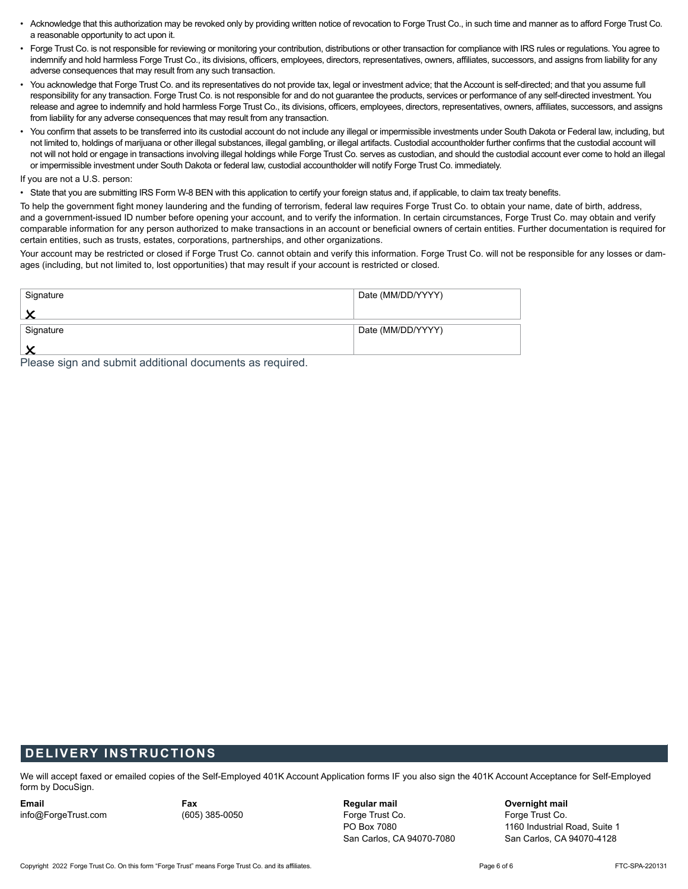- Acknowledge that this authorization may be revoked only by providing written notice of revocation to Forge Trust Co., in such time and manner as to afford Forge Trust Co. a reasonable opportunity to act upon it.
- Forge Trust Co. is not responsible for reviewing or monitoring your contribution, distributions or other transaction for compliance with IRS rules or regulations. You agree to indemnify and hold harmless Forge Trust Co., its divisions, officers, employees, directors, representatives, owners, affiliates, successors, and assigns from liability for any adverse consequences that may result from any such transaction.
- You acknowledge that Forge Trust Co. and its representatives do not provide tax, legal or investment advice; that the Account is self-directed; and that you assume full responsibility for any transaction. Forge Trust Co. is not responsible for and do not guarantee the products, services or performance of any self-directed investment. You release and agree to indemnify and hold harmless Forge Trust Co., its divisions, officers, employees, directors, representatives, owners, affiliates, successors, and assigns from liability for any adverse consequences that may result from any transaction.
- You confirm that assets to be transferred into its custodial account do not include any illegal or impermissible investments under South Dakota or Federal law, including, but not limited to, holdings of marijuana or other illegal substances, illegal gambling, or illegal artifacts. Custodial accountholder further confirms that the custodial account will not will not hold or engage in transactions involving illegal holdings while Forge Trust Co. serves as custodian, and should the custodial account ever come to hold an illegal or impermissible investment under South Dakota or federal law, custodial accountholder will notify Forge Trust Co. immediately.

If you are not a U.S. person:

• State that you are submitting IRS Form W-8 BEN with this application to certify your foreign status and, if applicable, to claim tax treaty benefits.

To help the government fight money laundering and the funding of terrorism, federal law requires Forge Trust Co. to obtain your name, date of birth, address, and a government-issued ID number before opening your account, and to verify the information. In certain circumstances, Forge Trust Co. may obtain and verify comparable information for any person authorized to make transactions in an account or beneficial owners of certain entities. Further documentation is required for certain entities, such as trusts, estates, corporations, partnerships, and other organizations.

Your account may be restricted or closed if Forge Trust Co. cannot obtain and verify this information. Forge Trust Co. will not be responsible for any losses or damages (including, but not limited to, lost opportunities) that may result if your account is restricted or closed.

| Signature                                                | Date (MM/DD/YYYY) |
|----------------------------------------------------------|-------------------|
|                                                          |                   |
| Signature                                                | Date (MM/DD/YYYY) |
|                                                          |                   |
| Please sign and submit additional documents as required. |                   |

#### **DELIVERY INSTRUCTIONS**

We will accept faxed or emailed copies of the Self-Employed 401K Account Application forms IF you also sign the 401K Account Acceptance for Self-Employed form by DocuSign.

**Email** info@ForgeTrust.com **Fax** (605) 385-0050 **Regular mail**  Forge Trust Co. PO Box 7080 San Carlos, CA 94070-7080 **Overnight mail**  Forge Trust Co. 1160 Industrial Road, Suite 1 San Carlos, CA 94070-4128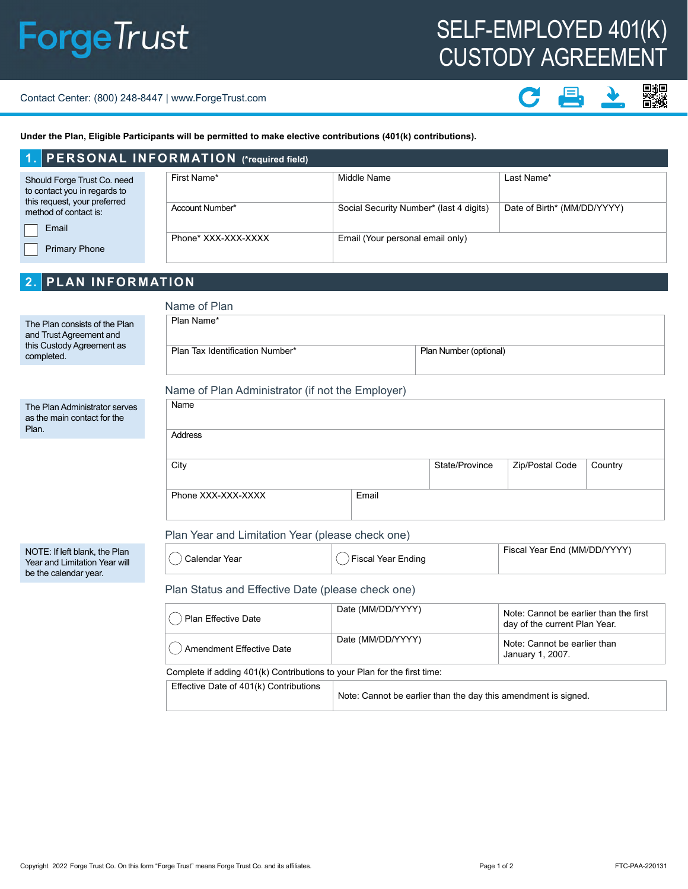# SELF-EMPLOYED 401(K) CUSTODY AGREEMENT

#### Contact Center: (800) 248-8447 | www.ForgeTrust.com

### 驋 具

**Under the Plan, Eligible Participants will be permitted to make elective contributions (401(k) contributions).**

|                                                                                             | 1. PERSONAL INFORMATION (*required field) |                                         |                             |  |  |
|---------------------------------------------------------------------------------------------|-------------------------------------------|-----------------------------------------|-----------------------------|--|--|
| Should Forge Trust Co. need<br>to contact you in regards to<br>this request, your preferred | First Name*                               | Middle Name                             | Last Name*                  |  |  |
| method of contact is:<br>Email                                                              | Account Number*                           | Social Security Number* (last 4 digits) | Date of Birth* (MM/DD/YYYY) |  |  |
| <b>Primary Phone</b>                                                                        | Phone* XXX-XXX-XXXX                       | Email (Your personal email only)        |                             |  |  |

#### **2. PLAN INFORMATION**

| Name of Plan                    |       |                                                                                                      |                 |         |
|---------------------------------|-------|------------------------------------------------------------------------------------------------------|-----------------|---------|
| Plan Name*                      |       |                                                                                                      |                 |         |
| Plan Tax Identification Number* |       | Plan Number (optional)                                                                               |                 |         |
|                                 |       |                                                                                                      |                 |         |
| Name                            |       |                                                                                                      |                 |         |
| <b>Address</b>                  |       |                                                                                                      |                 |         |
| City                            |       | State/Province                                                                                       | Zip/Postal Code | Country |
| Phone XXX-XXX-XXXX              | Email |                                                                                                      |                 |         |
|                                 |       |                                                                                                      |                 |         |
|                                 |       | Name of Plan Administrator (if not the Employer)<br>Plan Year and Limitation Year (please check one) |                 |         |

|  | Year<br>∠aienɑar<br>∽ | $\cdots$<br>-<br>Endina<br>∽ | Year Enn<br>7 84 84 71 71<br>$\cdot$ |
|--|-----------------------|------------------------------|--------------------------------------|
|--|-----------------------|------------------------------|--------------------------------------|

Plan Status and Effective Date (please check one)

| Plan Effective Date                                                      | Date (MM/DD/YYYY) | Note: Cannot be earlier than the first<br>day of the current Plan Year. |  |  |  |
|--------------------------------------------------------------------------|-------------------|-------------------------------------------------------------------------|--|--|--|
| () Amendment Effective Date                                              | Date (MM/DD/YYYY) | Note: Cannot be earlier than<br>January 1, 2007.                        |  |  |  |
| Complete if adding 401(k) Contributions to your Plan for the first time: |                   |                                                                         |  |  |  |
| <b>Effective Date of 401(k) Contributions</b>                            |                   |                                                                         |  |  |  |

| Effective Date of 401(k) Contributions |                                                                |
|----------------------------------------|----------------------------------------------------------------|
|                                        | Note: Cannot be earlier than the day this amendment is signed. |
|                                        |                                                                |

NOTE: If left blank, the Plan Year and Limitation Year will be the calendar year.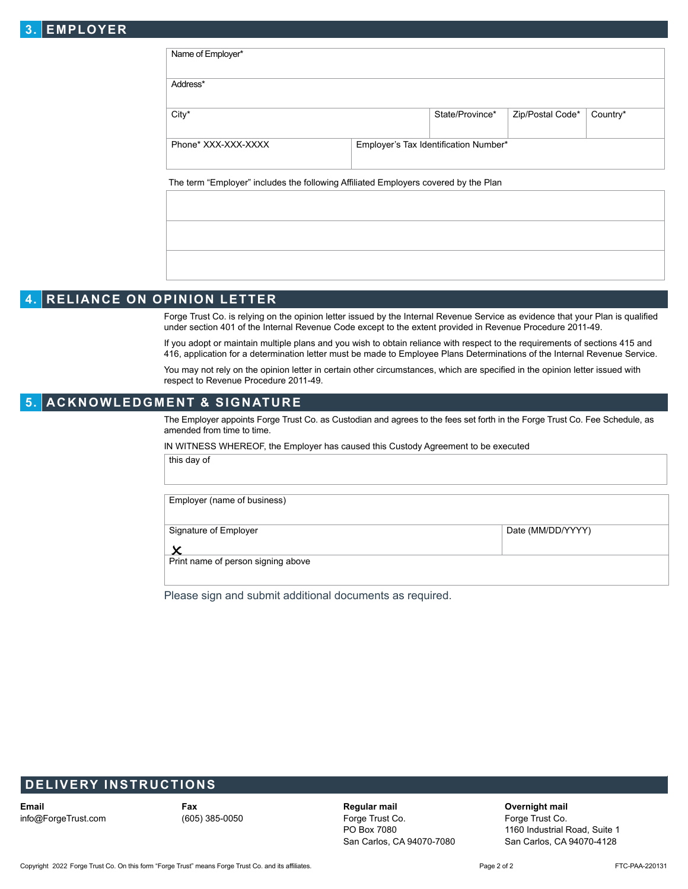## **3. EMPLOYER**

| Address*            |                                       |                  |          |
|---------------------|---------------------------------------|------------------|----------|
| City*               | State/Province*                       | Zip/Postal Code* | Country* |
| Phone* XXX-XXX-XXXX | Employer's Tax Identification Number* |                  |          |

## **4. RELIANCE ON OPINION LETTER**

Forge Trust Co. is relying on the opinion letter issued by the Internal Revenue Service as evidence that your Plan is qualified under section 401 of the Internal Revenue Code except to the extent provided in Revenue Procedure 2011-49.

If you adopt or maintain multiple plans and you wish to obtain reliance with respect to the requirements of sections 415 and 416, application for a determination letter must be made to Employee Plans Determinations of the Internal Revenue Service.

You may not rely on the opinion letter in certain other circumstances, which are specified in the opinion letter issued with respect to Revenue Procedure 2011-49.

#### **5. ACKNOWLEDGMENT & SIGNATURE**

The Employer appoints Forge Trust Co. as Custodian and agrees to the fees set forth in the Forge Trust Co. Fee Schedule, as amended from time to time.

IN WITNESS WHEREOF, the Employer has caused this Custody Agreement to be executed

this day of

Employer (name of business)

Signature of Employer **Date (MM/DD/YYYY)** 

 $\bm{\mathsf{x}}$ 

Print name of person signing above

Please sign and submit additional documents as required.

### **DELIVERY INSTRUCTIONS**

**Email** info@ForgeTrust.com **Fax** (605) 385-0050

**Regular mail**  Forge Trust Co. PO Box 7080 San Carlos, CA 94070-7080

**Overnight mail** 

Forge Trust Co. 1160 Industrial Road, Suite 1 San Carlos, CA 94070-4128